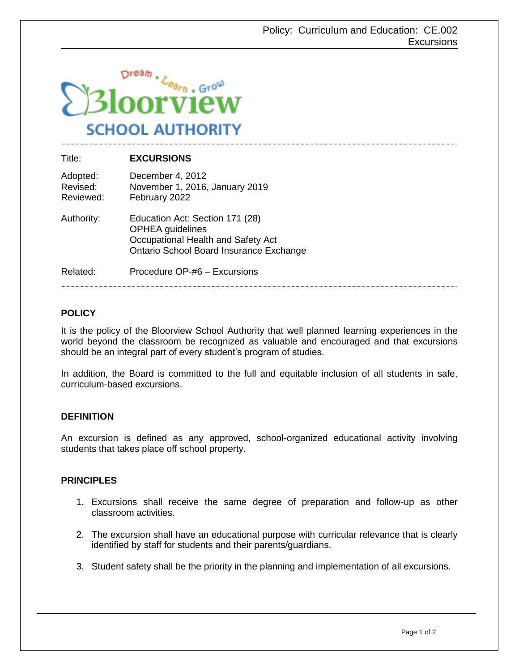

| Title:                            | <b>EXCURSIONS</b>                                                                                                                           |
|-----------------------------------|---------------------------------------------------------------------------------------------------------------------------------------------|
| Adopted:<br>Revised:<br>Reviewed: | December 4, 2012<br>November 1, 2016, January 2019<br>February 2022                                                                         |
| Authority:                        | Education Act: Section 171 (28)<br><b>OPHEA</b> guidelines<br>Occupational Health and Safety Act<br>Ontario School Board Insurance Exchange |
| Related:                          | Procedure OP-#6 – Excursions                                                                                                                |

## **POLICY**

It is the policy of the Bloorview School Authority that well planned learning experiences in the world beyond the classroom be recognized as valuable and encouraged and that excursions should be an integral part of every student's program of studies.

In addition, the Board is committed to the full and equitable inclusion of all students in safe, curriculum-based excursions.

## **DEFINITION**

An excursion is defined as any approved, school-organized educational activity involving students that takes place off school property.

## **PRINCIPLES**

- 1. Excursions shall receive the same degree of preparation and follow-up as other classroom activities.
- 2. The excursion shall have an educational purpose with curricular relevance that is clearly identified by staff for students and their parents/guardians.
- 3. Student safety shall be the priority in the planning and implementation of all excursions.